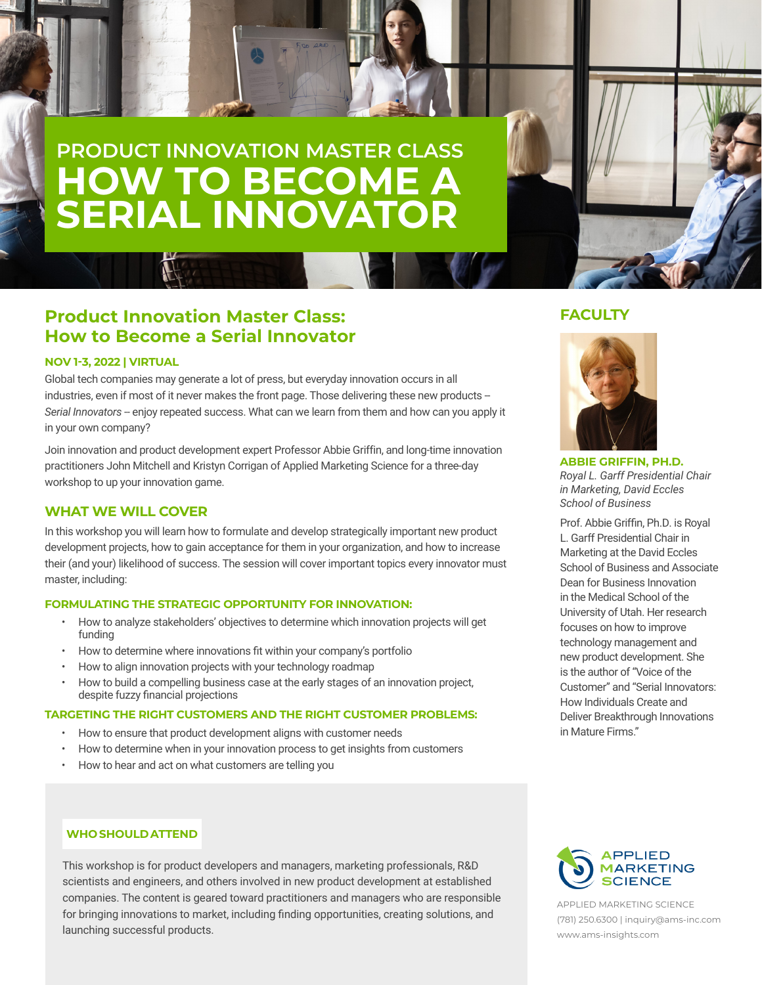# **PRODUCT INNOVATION MASTER CLASS HOW TO BECOME A SERIAL INNOVATOR**

# **Product Innovation Master Class: How to Become a Serial Innovator**

## **NOV 1-3, 2022 | VIRTUAL**

Global tech companies may generate a lot of press, but everyday innovation occurs in all industries, even if most of it never makes the front page. Those delivering these new products --Serial Innovators -- enjoy repeated success. What can we learn from them and how can you apply it in your own company?

Join innovation and product development expert Professor Abbie Griffin, and long-time innovation practitioners John Mitchell and Kristyn Corrigan of Applied Marketing Science for a three-day workshop to up your innovation game.

## **WHAT WE WILL COVER**

In this workshop you will learn how to formulate and develop strategically important new product development projects, how to gain acceptance for them in your organization, and how to increase their (and your) likelihood of success. The session will cover important topics every innovator must master, including:

### **FORMULATING THE STRATEGIC OPPORTUNITY FOR INNOVATION:**

- How to analyze stakeholders' objectives to determine which innovation projects will get funding
- How to determine where innovations fit within your company's portfolio
- How to align innovation projects with your technology roadmap
- How to build a compelling business case at the early stages of an innovation project, despite fuzzy financial projections

#### **TARGETING THE RIGHT CUSTOMERS AND THE RIGHT CUSTOMER PROBLEMS:**

- How to ensure that product development aligns with customer needs
- How to determine when in your innovation process to get insights from customers
- How to hear and act on what customers are telling you

## **WHO SHOULD ATTEND**

This workshop is for product developers and managers, marketing professionals, R&D scientists and engineers, and others involved in new product development at established companies. The content is geared toward practitioners and managers who are responsible for bringing innovations to market, including finding opportunities, creating solutions, and launching successful products.

## **FACULTY**



**ABBIE GRIFFIN, PH.D.** *Royal L. Garff Presidential Chair in Marketing, David Eccles School of Business*

Prof. Abbie Griffin, Ph.D. is Royal L. Garff Presidential Chair in Marketing at the David Eccles School of Business and Associate Dean for Business Innovation in the Medical School of the University of Utah. Her research focuses on how to improve technology management and new product development. She is the author of "Voice of the Customer" and "Serial Innovators: How Individuals Create and Deliver Breakthrough Innovations in Mature Firms."



APPLIED MARKETING SCIENCE (781) 250.6300 | inquiry@ams-inc.com www.ams-insights.com